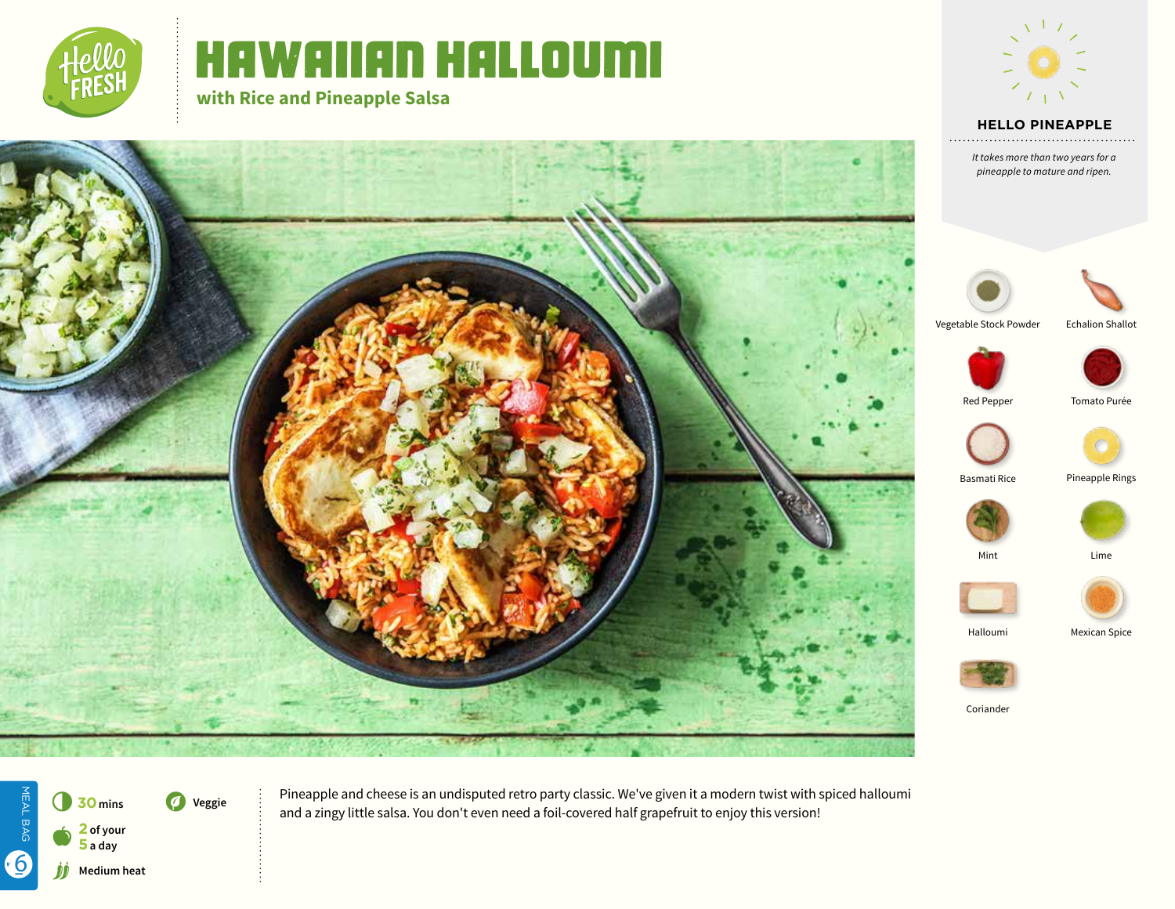

# Hawaiian Halloumi

**with Rice and Pineapple Salsa**



# **HELLO PINEAPPLE**

*It takes more than two years for a pineapple to mature and ripen.*





Echalion Shallot

Vegetable Stock Powder





Red Pepper Tomato Purée















Coriander



Pineapple and cheese is an undisputed retro party classic. We've given it a modern twist with spiced halloumi and a zingy little salsa. You don't even need a foil-covered half grapefruit to enjoy this version!